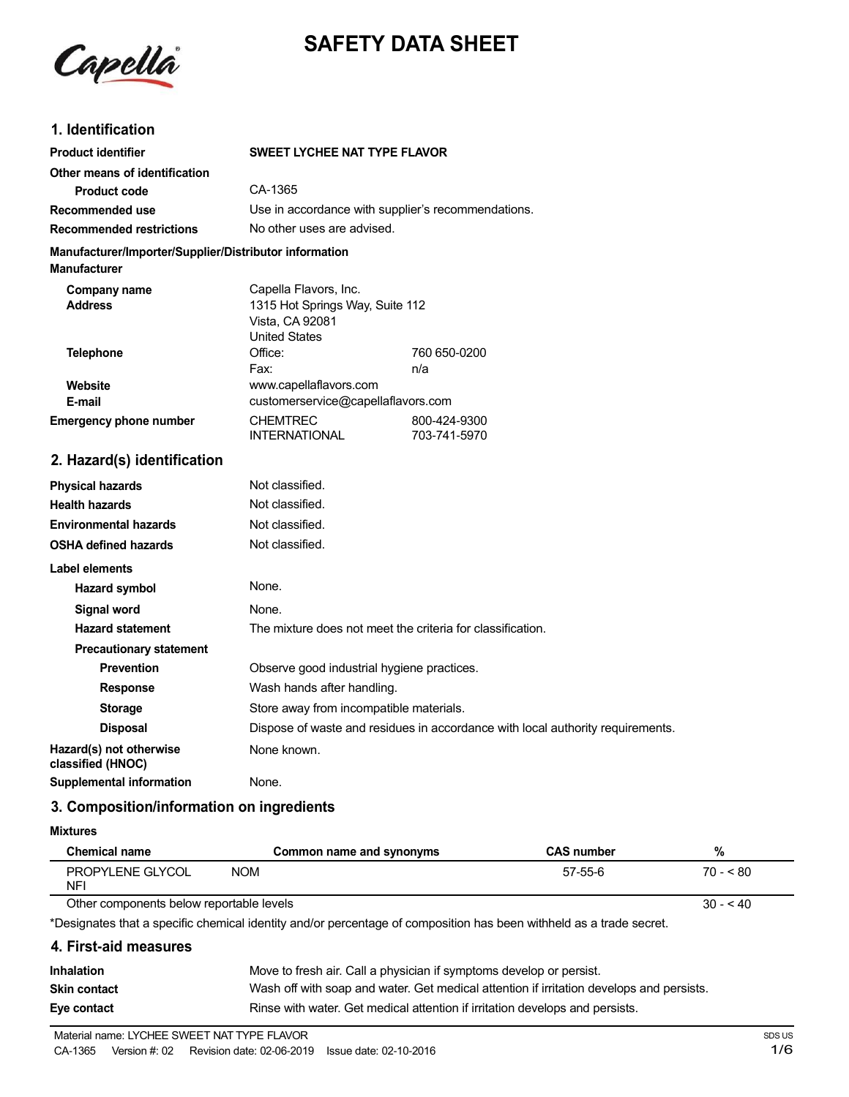



## **1. Identification**

| <b>Product identifier</b>                                                     | <b>SWEET LYCHEE NAT TYPE FLAVOR</b>                                                                 |                              |
|-------------------------------------------------------------------------------|-----------------------------------------------------------------------------------------------------|------------------------------|
| Other means of identification<br>Product code                                 | CA-1365                                                                                             |                              |
| Recommended use                                                               | Use in accordance with supplier's recommendations.                                                  |                              |
| <b>Recommended restrictions</b>                                               | No other uses are advised.                                                                          |                              |
| Manufacturer/Importer/Supplier/Distributor information<br><b>Manufacturer</b> |                                                                                                     |                              |
| Company name<br><b>Address</b>                                                | Capella Flavors, Inc.<br>1315 Hot Springs Way, Suite 112<br>Vista, CA 92081<br><b>United States</b> |                              |
| <b>Telephone</b>                                                              | Office:<br>Fax:                                                                                     | 760 650-0200<br>n/a          |
| Website<br>E-mail                                                             | www.capellaflavors.com<br>customerservice@capellaflavors.com                                        |                              |
| <b>Emergency phone number</b>                                                 | <b>CHEMTREC</b><br><b>INTERNATIONAL</b>                                                             | 800-424-9300<br>703-741-5970 |
| 2. Hazard(s) identification                                                   |                                                                                                     |                              |
| <b>Physical hazards</b>                                                       | Not classified.                                                                                     |                              |
| <b>Health hazards</b>                                                         | Not classified.                                                                                     |                              |
| <b>Environmental hazards</b>                                                  | Not classified.                                                                                     |                              |
| <b>OSHA defined hazards</b>                                                   | Not classified.                                                                                     |                              |
| Label elements                                                                |                                                                                                     |                              |
| <b>Hazard symbol</b>                                                          | None.                                                                                               |                              |
| <b>Signal word</b>                                                            | None.                                                                                               |                              |
| <b>Hazard statement</b>                                                       | The mixture does not meet the criteria for classification.                                          |                              |
| <b>Precautionary statement</b>                                                |                                                                                                     |                              |
| <b>Prevention</b>                                                             | Observe good industrial hygiene practices.                                                          |                              |

**Response** Wash hands after handling.

**Storage** Store away from incompatible materials. **Disposal** Dispose of waste and residues in accordance with local authority requirements. **Hazard(s) not otherwise** None known. **classified (HNOC)**

**Supplemental information** None.

# **3. Composition/information on ingredients**

#### **Mixtures**

| <b>Chemical name</b>                                  | Common name and synonyms | <b>CAS number</b> | %         |
|-------------------------------------------------------|--------------------------|-------------------|-----------|
| PROPYLENE GLYCOL<br><b>NFI</b>                        | <b>NOM</b>               | 57-55-6           | $70 - 80$ |
| Other components below reportable levels<br>$30 - 40$ |                          |                   |           |

Other components below reportable levels

\*Designates that a specific chemical identity and/or percentage of composition has been withheld as a trade secret.

### **4. First-aid measures**

| <b>Inhalation</b>   | Move to fresh air. Call a physician if symptoms develop or persist.                      |
|---------------------|------------------------------------------------------------------------------------------|
| <b>Skin contact</b> | Wash off with soap and water. Get medical attention if irritation develops and persists. |
| Eye contact         | Rinse with water. Get medical attention if irritation develops and persists.             |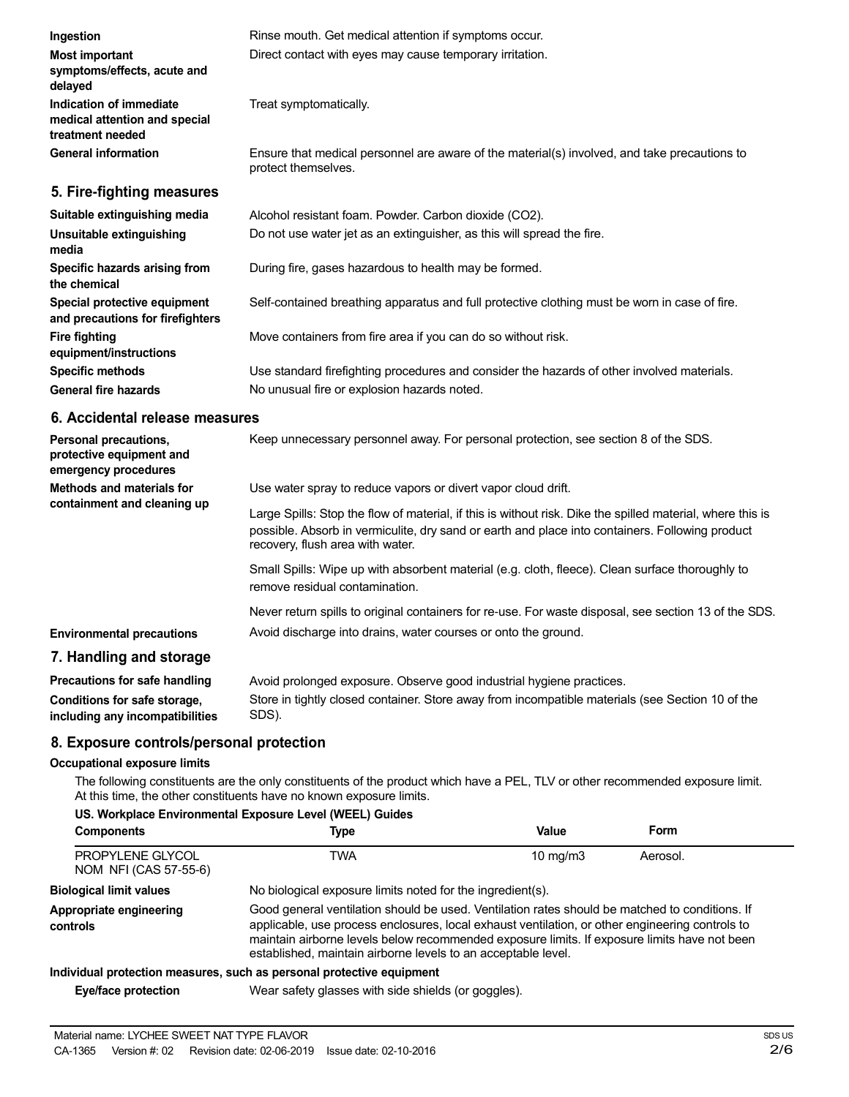| Ingestion                                                                    | Rinse mouth. Get medical attention if symptoms occur.                                                               |
|------------------------------------------------------------------------------|---------------------------------------------------------------------------------------------------------------------|
| <b>Most important</b><br>symptoms/effects, acute and<br>delayed              | Direct contact with eyes may cause temporary irritation.                                                            |
| Indication of immediate<br>medical attention and special<br>treatment needed | Treat symptomatically.                                                                                              |
| <b>General information</b>                                                   | Ensure that medical personnel are aware of the material(s) involved, and take precautions to<br>protect themselves. |
| 5. Fire-fighting measures                                                    |                                                                                                                     |
| Suitable extinguishing media                                                 | Alcohol resistant foam. Powder. Carbon dioxide (CO2).                                                               |
| Unsuitable extinguishing<br>media                                            | Do not use water jet as an extinguisher, as this will spread the fire.                                              |
| Specific hazards arising from                                                | During fire, gases hazardous to health may be formed.                                                               |

Move containers from fire area if you can do so without risk.

Use water spray to reduce vapors or divert vapor cloud drift.

Avoid discharge into drains, water courses or onto the ground.

The following constituents are the only constituents of the product which have a PEL, TLV or other recommended exposure limit.

**Components Type Value Form**

No biological exposure limits noted for the ingredient(s).

established, maintain airborne levels to an acceptable level.

Avoid prolonged exposure. Observe good industrial hygiene practices.

No unusual fire or explosion hazards noted.

recovery, flush area with water.

remove residual contamination.

Self-contained breathing apparatus and full protective clothing must be worn in case of fire.

Use standard firefighting procedures and consider the hazards of other involved materials.

Keep unnecessary personnel away. For personal protection, see section 8 of the SDS.

Large Spills: Stop the flow of material, if this is without risk. Dike the spilled material, where this is possible. Absorb in vermiculite, dry sand or earth and place into containers. Following product

Never return spills to original containers for re-use. For waste disposal, see section 13 of the SDS.

Store in tightly closed container. Store away from incompatible materials (see Section 10 of the

TWA 10 mg/m3 Aerosol.

Good general ventilation should be used. Ventilation rates should be matched to conditions. If applicable, use process enclosures, local exhaust ventilation, or other engineering controls to maintain airborne levels below recommended exposure limits. If exposure limits have not been

Small Spills: Wipe up with absorbent material (e.g. cloth, fleece). Clean surface thoroughly to

**Eye/face protection** Wear safety glasses with side shields (or goggles).

SDS).

At this time, the other constituents have no known exposure limits. **US. Workplace Environmental Exposure Level (WEEL) Guides**

**8. Exposure controls/personal protection**

**Individual protection measures, such as personal protective equipment**

**the chemical**

**Fire fighting**

**Special protective equipment and precautions for firefighters**

**6. Accidental release measures**

**equipment/instructions Specific methods General fire hazards**

**Personal precautions, protective equipment and emergency procedures Methods and materials for containment and cleaning up**

**Environmental precautions 7. Handling and storage Precautions for safe handling Conditions for safe storage, including any incompatibilities**

**Occupational exposure limits**

PROPYLENE GLYCOL NOM NFI (CAS 57-55-6)

**Biological limit values Appropriate engineering**

**controls**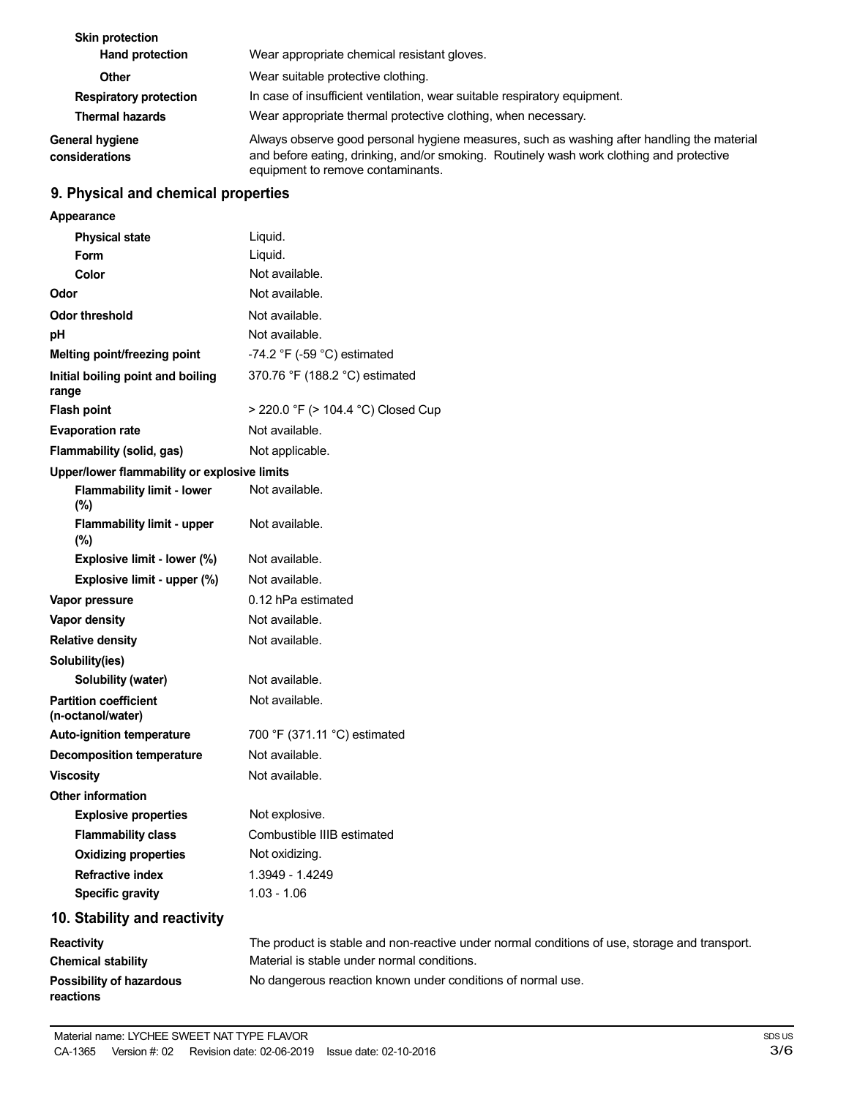| <b>Skin protection</b><br>Hand protection | Wear appropriate chemical resistant gloves.                                                                                                                                                                                 |
|-------------------------------------------|-----------------------------------------------------------------------------------------------------------------------------------------------------------------------------------------------------------------------------|
| Other                                     | Wear suitable protective clothing.                                                                                                                                                                                          |
| <b>Respiratory protection</b>             | In case of insufficient ventilation, wear suitable respiratory equipment.                                                                                                                                                   |
| <b>Thermal hazards</b>                    | Wear appropriate thermal protective clothing, when necessary.                                                                                                                                                               |
| <b>General hygiene</b><br>considerations  | Always observe good personal hygiene measures, such as washing after handling the material<br>and before eating, drinking, and/or smoking. Routinely wash work clothing and protective<br>equipment to remove contaminants. |

# **9. Physical and chemical properties**

| Appearance                                        |                                                                                               |
|---------------------------------------------------|-----------------------------------------------------------------------------------------------|
| <b>Physical state</b>                             | Liquid.                                                                                       |
| <b>Form</b>                                       | Liquid.                                                                                       |
| Color                                             | Not available.                                                                                |
| Odor                                              | Not available.                                                                                |
| <b>Odor threshold</b>                             | Not available.                                                                                |
| pH                                                | Not available.                                                                                |
| Melting point/freezing point                      | -74.2 °F (-59 °C) estimated                                                                   |
| Initial boiling point and boiling<br>range        | 370.76 °F (188.2 °C) estimated                                                                |
| <b>Flash point</b>                                | > 220.0 °F (> 104.4 °C) Closed Cup                                                            |
| <b>Evaporation rate</b>                           | Not available.                                                                                |
| Flammability (solid, gas)                         | Not applicable.                                                                               |
| Upper/lower flammability or explosive limits      |                                                                                               |
| <b>Flammability limit - lower</b><br>(%)          | Not available.                                                                                |
| Flammability limit - upper<br>(%)                 | Not available.                                                                                |
| Explosive limit - lower (%)                       | Not available.                                                                                |
| Explosive limit - upper (%)                       | Not available.                                                                                |
| Vapor pressure                                    | 0.12 hPa estimated                                                                            |
| <b>Vapor density</b>                              | Not available.                                                                                |
| <b>Relative density</b>                           | Not available.                                                                                |
| Solubility(ies)                                   |                                                                                               |
| Solubility (water)                                | Not available.                                                                                |
| <b>Partition coefficient</b><br>(n-octanol/water) | Not available.                                                                                |
| Auto-ignition temperature                         | 700 °F (371.11 °C) estimated                                                                  |
| <b>Decomposition temperature</b>                  | Not available.                                                                                |
| <b>Viscosity</b>                                  | Not available.                                                                                |
| <b>Other information</b>                          |                                                                                               |
| <b>Explosive properties</b>                       | Not explosive.                                                                                |
| <b>Flammability class</b>                         | Combustible IIIB estimated                                                                    |
| <b>Oxidizing properties</b>                       | Not oxidizing.                                                                                |
| <b>Refractive index</b>                           | 1.3949 - 1.4249                                                                               |
| <b>Specific gravity</b>                           | $1.03 - 1.06$                                                                                 |
| 10. Stability and reactivity                      |                                                                                               |
| Reactivity                                        | The product is stable and non-reactive under normal conditions of use, storage and transport. |
| <b>Chemical stability</b>                         | Material is stable under normal conditions.                                                   |
| <b>Possibility of hazardous</b>                   | No dangerous reaction known under conditions of normal use.                                   |

**reactions**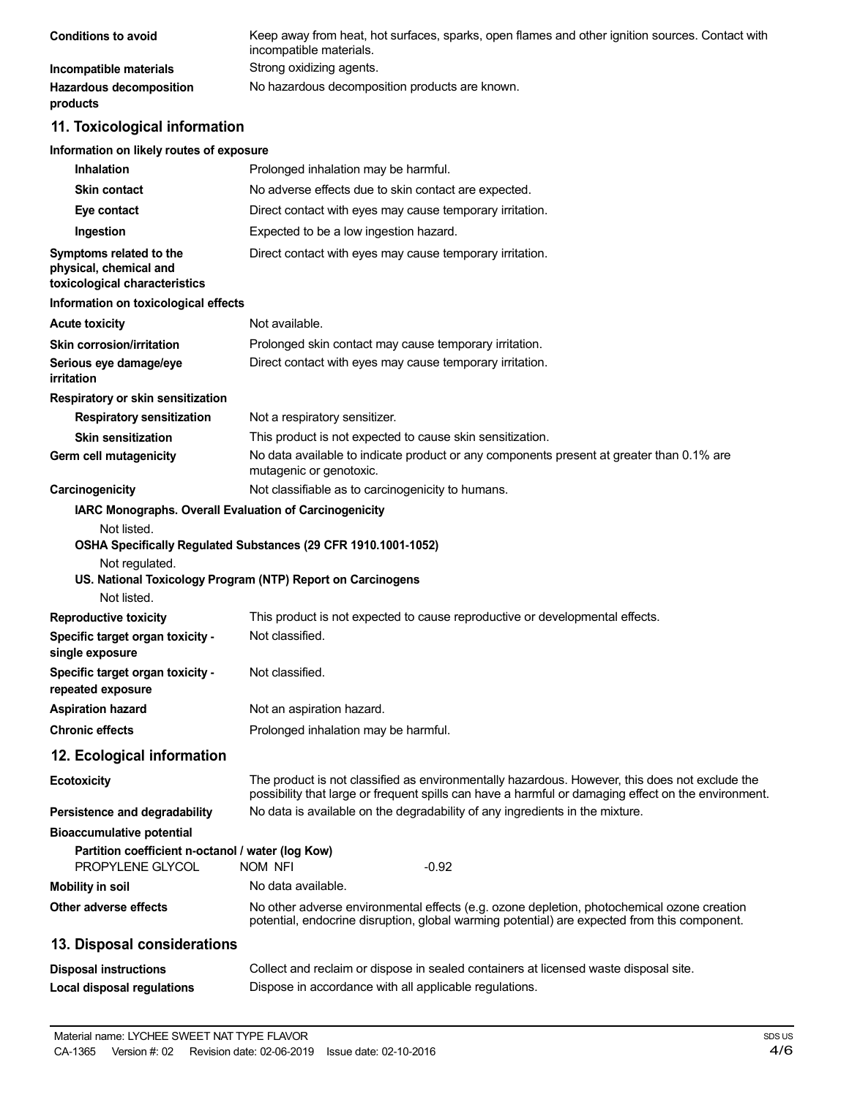| <b>Conditions to avoid</b>          | Keep away from heat, hot surfaces, sparks, open flames and other ignition sources. Contact with<br>incompatible materials. |
|-------------------------------------|----------------------------------------------------------------------------------------------------------------------------|
| Incompatible materials              | Strong oxidizing agents.                                                                                                   |
| Hazardous decomposition<br>products | No hazardous decomposition products are known.                                                                             |

# **11. Toxicological information**

#### **Information on likely routes of exposure**

| <b>Inhalation</b>                                                                  | Prolonged inhalation may be harmful.                                                                                                                                                                  |
|------------------------------------------------------------------------------------|-------------------------------------------------------------------------------------------------------------------------------------------------------------------------------------------------------|
| <b>Skin contact</b>                                                                | No adverse effects due to skin contact are expected.                                                                                                                                                  |
| Eye contact                                                                        | Direct contact with eyes may cause temporary irritation.                                                                                                                                              |
| Ingestion                                                                          | Expected to be a low ingestion hazard.                                                                                                                                                                |
| Symptoms related to the<br>physical, chemical and<br>toxicological characteristics | Direct contact with eyes may cause temporary irritation.                                                                                                                                              |
| Information on toxicological effects                                               |                                                                                                                                                                                                       |
| <b>Acute toxicity</b>                                                              | Not available.                                                                                                                                                                                        |
| Skin corrosion/irritation                                                          | Prolonged skin contact may cause temporary irritation.                                                                                                                                                |
| Serious eye damage/eye<br>irritation                                               | Direct contact with eyes may cause temporary irritation.                                                                                                                                              |
| Respiratory or skin sensitization                                                  |                                                                                                                                                                                                       |
| <b>Respiratory sensitization</b>                                                   | Not a respiratory sensitizer.                                                                                                                                                                         |
| <b>Skin sensitization</b>                                                          | This product is not expected to cause skin sensitization.                                                                                                                                             |
| Germ cell mutagenicity                                                             | No data available to indicate product or any components present at greater than 0.1% are<br>mutagenic or genotoxic.                                                                                   |
| Carcinogenicity                                                                    | Not classifiable as to carcinogenicity to humans.                                                                                                                                                     |
| IARC Monographs. Overall Evaluation of Carcinogenicity                             |                                                                                                                                                                                                       |
| Not regulated.<br>Not listed.                                                      | OSHA Specifically Regulated Substances (29 CFR 1910.1001-1052)<br>US. National Toxicology Program (NTP) Report on Carcinogens                                                                         |
| <b>Reproductive toxicity</b>                                                       | This product is not expected to cause reproductive or developmental effects.                                                                                                                          |
| Specific target organ toxicity -<br>single exposure                                | Not classified.                                                                                                                                                                                       |
| Specific target organ toxicity -<br>repeated exposure                              | Not classified.                                                                                                                                                                                       |
| <b>Aspiration hazard</b>                                                           | Not an aspiration hazard.                                                                                                                                                                             |
| <b>Chronic effects</b>                                                             | Prolonged inhalation may be harmful.                                                                                                                                                                  |
| 12. Ecological information                                                         |                                                                                                                                                                                                       |
| <b>Ecotoxicity</b>                                                                 | The product is not classified as environmentally hazardous. However, this does not exclude the<br>possibility that large or frequent spills can have a harmful or damaging effect on the environment. |
| Persistence and degradability                                                      | No data is available on the degradability of any ingredients in the mixture.                                                                                                                          |
| <b>Bioaccumulative potential</b>                                                   |                                                                                                                                                                                                       |
| Partition coefficient n-octanol / water (log Kow)<br>PROPYLENE GLYCOL              | nom nfi<br>$-0.92$                                                                                                                                                                                    |
| <b>Mobility in soil</b>                                                            | No data available.                                                                                                                                                                                    |
| Other adverse effects                                                              | No other adverse environmental effects (e.g. ozone depletion, photochemical ozone creation<br>potential, endocrine disruption, global warming potential) are expected from this component.            |
| 13. Disposal considerations                                                        |                                                                                                                                                                                                       |
| <b>Disposal instructions</b>                                                       | Collect and reclaim or dispose in sealed containers at licensed waste disposal site.                                                                                                                  |
| <b>Local disposal regulations</b>                                                  | Dispose in accordance with all applicable regulations.                                                                                                                                                |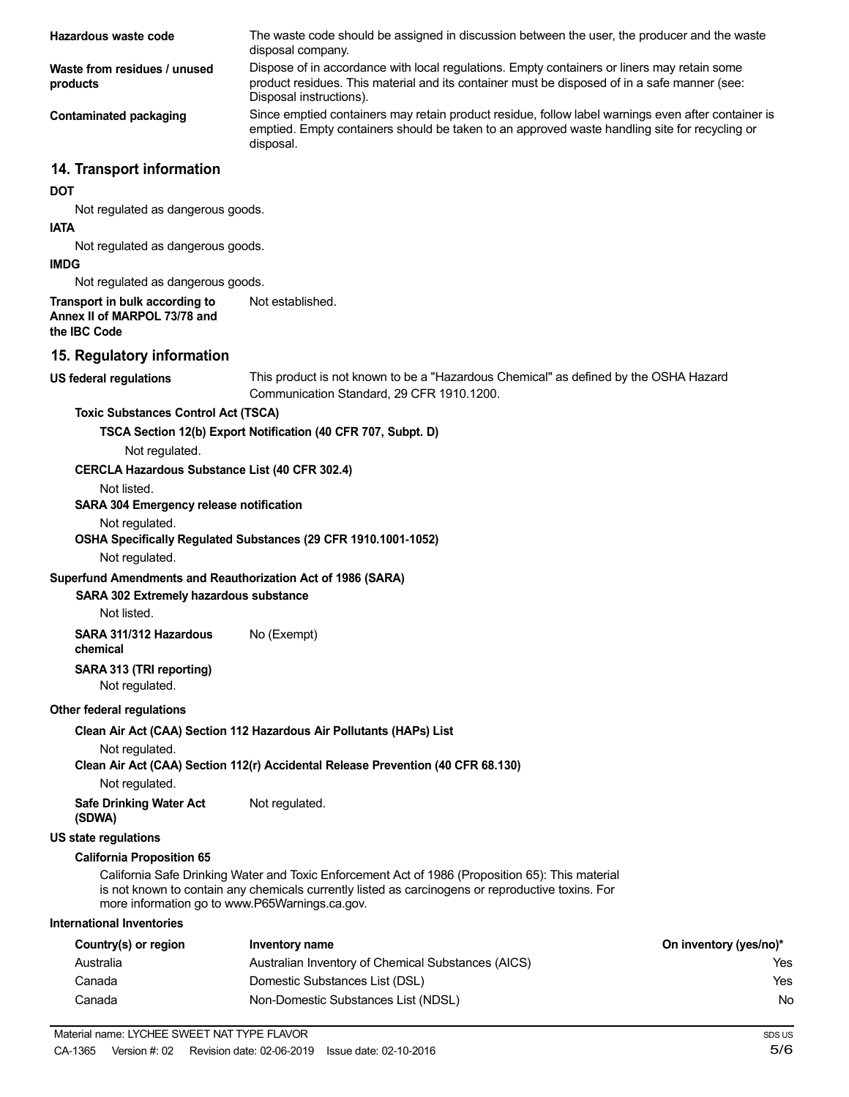| Hazardous waste code                                                           | The waste code should be assigned in discussion between the user, the producer and the waste<br>disposal company.                                                                                                      |                        |
|--------------------------------------------------------------------------------|------------------------------------------------------------------------------------------------------------------------------------------------------------------------------------------------------------------------|------------------------|
| Waste from residues / unused<br>products                                       | Dispose of in accordance with local regulations. Empty containers or liners may retain some<br>product residues. This material and its container must be disposed of in a safe manner (see:<br>Disposal instructions). |                        |
| <b>Contaminated packaging</b>                                                  | Since emptied containers may retain product residue, follow label warnings even after container is<br>emptied. Empty containers should be taken to an approved waste handling site for recycling or<br>disposal.       |                        |
| 14. Transport information                                                      |                                                                                                                                                                                                                        |                        |
| <b>DOT</b>                                                                     |                                                                                                                                                                                                                        |                        |
| Not regulated as dangerous goods.<br><b>IATA</b>                               |                                                                                                                                                                                                                        |                        |
| Not regulated as dangerous goods.                                              |                                                                                                                                                                                                                        |                        |
| <b>IMDG</b>                                                                    |                                                                                                                                                                                                                        |                        |
| Not regulated as dangerous goods.                                              |                                                                                                                                                                                                                        |                        |
| Transport in bulk according to<br>Annex II of MARPOL 73/78 and<br>the IBC Code | Not established.                                                                                                                                                                                                       |                        |
| 15. Regulatory information                                                     |                                                                                                                                                                                                                        |                        |
| <b>US federal regulations</b>                                                  | This product is not known to be a "Hazardous Chemical" as defined by the OSHA Hazard<br>Communication Standard, 29 CFR 1910.1200.                                                                                      |                        |
| <b>Toxic Substances Control Act (TSCA)</b>                                     |                                                                                                                                                                                                                        |                        |
|                                                                                | TSCA Section 12(b) Export Notification (40 CFR 707, Subpt. D)                                                                                                                                                          |                        |
| Not regulated.                                                                 |                                                                                                                                                                                                                        |                        |
| <b>CERCLA Hazardous Substance List (40 CFR 302.4)</b>                          |                                                                                                                                                                                                                        |                        |
| Not listed.<br>SARA 304 Emergency release notification                         |                                                                                                                                                                                                                        |                        |
| Not regulated.                                                                 |                                                                                                                                                                                                                        |                        |
| Not regulated.                                                                 | OSHA Specifically Regulated Substances (29 CFR 1910.1001-1052)                                                                                                                                                         |                        |
| Superfund Amendments and Reauthorization Act of 1986 (SARA)                    |                                                                                                                                                                                                                        |                        |
| SARA 302 Extremely hazardous substance<br>Not listed.                          |                                                                                                                                                                                                                        |                        |
| SARA 311/312 Hazardous<br>chemical                                             | No (Exempt)                                                                                                                                                                                                            |                        |
| SARA 313 (TRI reporting)<br>Not regulated.                                     |                                                                                                                                                                                                                        |                        |
| Other federal regulations                                                      |                                                                                                                                                                                                                        |                        |
|                                                                                | Clean Air Act (CAA) Section 112 Hazardous Air Pollutants (HAPs) List                                                                                                                                                   |                        |
| Not regulated.                                                                 | Clean Air Act (CAA) Section 112(r) Accidental Release Prevention (40 CFR 68.130)                                                                                                                                       |                        |
| Not regulated.                                                                 |                                                                                                                                                                                                                        |                        |
| <b>Safe Drinking Water Act</b><br>(SDWA)                                       | Not regulated.                                                                                                                                                                                                         |                        |
| <b>US state regulations</b>                                                    |                                                                                                                                                                                                                        |                        |
| <b>California Proposition 65</b>                                               |                                                                                                                                                                                                                        |                        |
| more information go to www.P65Warnings.ca.gov.                                 | California Safe Drinking Water and Toxic Enforcement Act of 1986 (Proposition 65): This material<br>is not known to contain any chemicals currently listed as carcinogens or reproductive toxins. For                  |                        |
| <b>International Inventories</b>                                               |                                                                                                                                                                                                                        |                        |
| Country(s) or region                                                           | <b>Inventory name</b>                                                                                                                                                                                                  | On inventory (yes/no)* |
| Australia                                                                      | Australian Inventory of Chemical Substances (AICS)                                                                                                                                                                     | Yes                    |
| Canada                                                                         | Domestic Substances List (DSL)                                                                                                                                                                                         | Yes                    |
| Canada                                                                         | Non-Domestic Substances List (NDSL)                                                                                                                                                                                    | No                     |